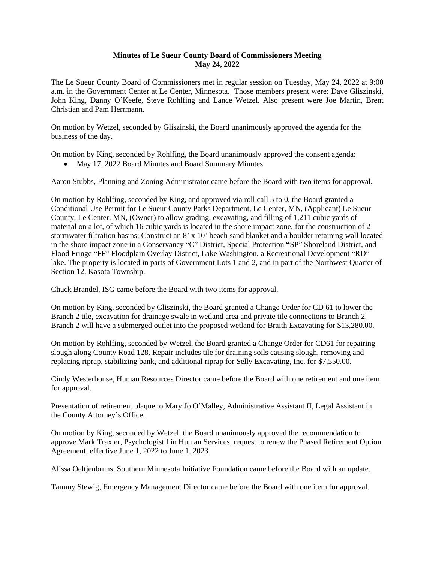## **Minutes of Le Sueur County Board of Commissioners Meeting May 24, 2022**

The Le Sueur County Board of Commissioners met in regular session on Tuesday, May 24, 2022 at 9:00 a.m. in the Government Center at Le Center, Minnesota. Those members present were: Dave Gliszinski, John King, Danny O'Keefe, Steve Rohlfing and Lance Wetzel. Also present were Joe Martin, Brent Christian and Pam Herrmann.

On motion by Wetzel, seconded by Gliszinski, the Board unanimously approved the agenda for the business of the day.

On motion by King, seconded by Rohlfing, the Board unanimously approved the consent agenda:

May 17, 2022 Board Minutes and Board Summary Minutes

Aaron Stubbs, Planning and Zoning Administrator came before the Board with two items for approval.

On motion by Rohlfing, seconded by King, and approved via roll call 5 to 0, the Board granted a Conditional Use Permit for Le Sueur County Parks Department, Le Center, MN, (Applicant) Le Sueur County, Le Center, MN, (Owner) to allow grading, excavating, and filling of 1,211 cubic yards of material on a lot, of which 16 cubic yards is located in the shore impact zone, for the construction of 2 stormwater filtration basins; Construct an 8' x 10' beach sand blanket and a boulder retaining wall located in the shore impact zone in a Conservancy "C" District, Special Protection **"**SP" Shoreland District, and Flood Fringe "FF" Floodplain Overlay District, Lake Washington, a Recreational Development "RD" lake. The property is located in parts of Government Lots 1 and 2, and in part of the Northwest Quarter of Section 12, Kasota Township.

Chuck Brandel, ISG came before the Board with two items for approval.

On motion by King, seconded by Gliszinski, the Board granted a Change Order for CD 61 to lower the Branch 2 tile, excavation for drainage swale in wetland area and private tile connections to Branch 2. Branch 2 will have a submerged outlet into the proposed wetland for Braith Excavating for \$13,280.00.

On motion by Rohlfing, seconded by Wetzel, the Board granted a Change Order for CD61 for repairing slough along County Road 128. Repair includes tile for draining soils causing slough, removing and replacing riprap, stabilizing bank, and additional riprap for Selly Excavating, Inc. for \$7,550.00.

Cindy Westerhouse, Human Resources Director came before the Board with one retirement and one item for approval.

Presentation of retirement plaque to Mary Jo O'Malley, Administrative Assistant II, Legal Assistant in the County Attorney's Office.

On motion by King, seconded by Wetzel, the Board unanimously approved the recommendation to approve Mark Traxler, Psychologist I in Human Services, request to renew the Phased Retirement Option Agreement, effective June 1, 2022 to June 1, 2023

Alissa Oeltjenbruns, Southern Minnesota Initiative Foundation came before the Board with an update.

Tammy Stewig, Emergency Management Director came before the Board with one item for approval.